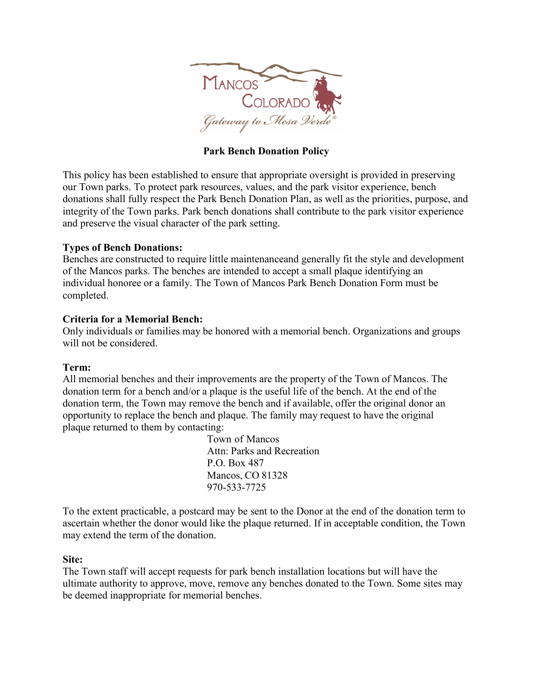

# **Park Bench Donation Policy**

This policy has been established to ensure that appropriate oversight is provided in preserving our Town parks. To protect park resources, values, and the park visitor experience, bench donations shall fully respect the Park Bench Donation Plan, as well as the priorities, purpose, and integrity of the Town parks. Park bench donations shall contribute to the park visitor experience and preserve the visual character of the park setting.

### **Types of Bench Donations:**

Benches are constructed to require little maintenanceand generally fit the style and development of the Mancos parks. The benches are intended to accept a small plaque identifying an individual honoree or a family. The Town of Mancos Park Bench Donation Form must be completed.

### **Criteria for a Memorial Bench:**

Only individuals or families may be honored with a memorial bench. Organizations and groups will not be considered.

### **Term:**

All memorial benches and their improvements are the property of the Town of Mancos. The donation term for a bench and/or a plaque is the useful life of the bench. At the end of the donation term, the Town may remove the bench and if available, offer the original donor an opportunity to replace the bench and plaque. The family may request to have the original plaque returned to them by contacting:

> Town of Mancos Attn: Parks and Recreation P.O. Box 487 Mancos, CO 81328 970-533-7725

To the extent practicable, a postcard may be sent to the Donor at the end of the donation term to ascertain whether the donor would like the plaque returned. If in acceptable condition, the Town may extend the term of the donation.

### **Site:**

The Town staff will accept requests for park bench installation locations but will have the ultimate authority to approve, move, remove any benches donated to the Town. Some sites may be deemed inappropriate for memorial benches.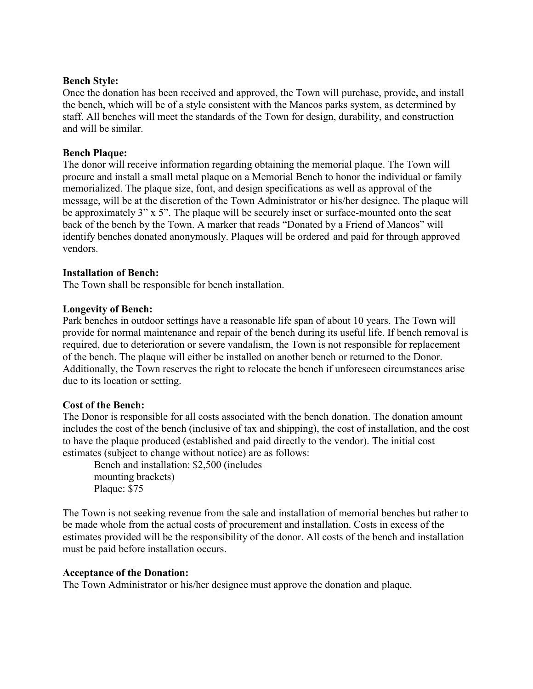#### **Bench Style:**

Once the donation has been received and approved, the Town will purchase, provide, and install the bench, which will be of a style consistent with the Mancos parks system, as determined by staff. All benches will meet the standards of the Town for design, durability, and construction and will be similar.

### **Bench Plaque:**

The donor will receive information regarding obtaining the memorial plaque. The Town will procure and install a small metal plaque on a Memorial Bench to honor the individual or family memorialized. The plaque size, font, and design specifications as well as approval of the message, will be at the discretion of the Town Administrator or his/her designee. The plaque will be approximately 3" x 5". The plaque will be securely inset or surface-mounted onto the seat back of the bench by the Town. A marker that reads "Donated by a Friend of Mancos" will identify benches donated anonymously. Plaques will be ordered and paid for through approved vendors.

### **Installation of Bench:**

The Town shall be responsible for bench installation.

### **Longevity of Bench:**

Park benches in outdoor settings have a reasonable life span of about 10 years. The Town will provide for normal maintenance and repair of the bench during its useful life. If bench removal is required, due to deterioration or severe vandalism, the Town is not responsible for replacement of the bench. The plaque will either be installed on another bench or returned to the Donor. Additionally, the Town reserves the right to relocate the bench if unforeseen circumstances arise due to its location or setting.

### **Cost of the Bench:**

The Donor is responsible for all costs associated with the bench donation. The donation amount includes the cost of the bench (inclusive of tax and shipping), the cost of installation, and the cost to have the plaque produced (established and paid directly to the vendor). The initial cost estimates (subject to change without notice) are as follows:

Bench and installation: \$2,500 (includes mounting brackets) Plaque: \$75

The Town is not seeking revenue from the sale and installation of memorial benches but rather to be made whole from the actual costs of procurement and installation. Costs in excess of the estimates provided will be the responsibility of the donor. All costs of the bench and installation must be paid before installation occurs.

### **Acceptance of the Donation:**

The Town Administrator or his/her designee must approve the donation and plaque.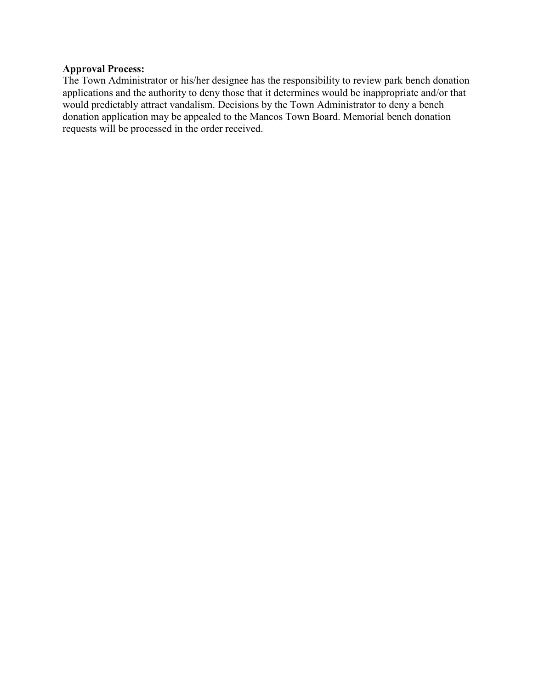## **Approval Process:**

The Town Administrator or his/her designee has the responsibility to review park bench donation applications and the authority to deny those that it determines would be inappropriate and/or that would predictably attract vandalism. Decisions by the Town Administrator to deny a bench donation application may be appealed to the Mancos Town Board. Memorial bench donation requests will be processed in the order received.